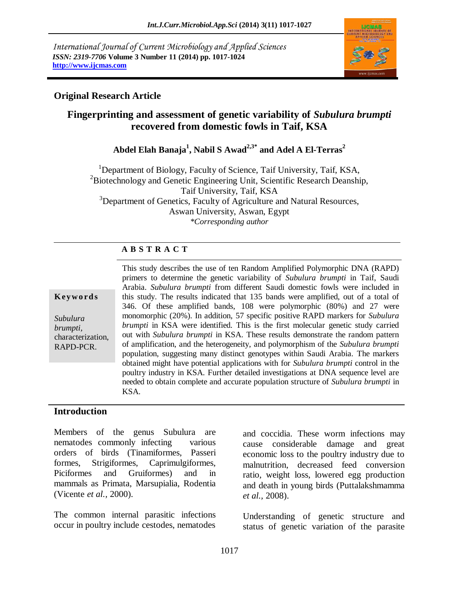*International Journal of Current Microbiology and Applied Sciences ISSN: 2319-7706* **Volume 3 Number 11 (2014) pp. 1017-1024 http://www.ijcmas.com** 



### **Original Research Article**

# **Fingerprinting and assessment of genetic variability of** *Subulura brumpti* **recovered from domestic fowls in Taif, KSA**

**Abdel Elah Banaja<sup>1</sup> , Nabil S Awad2,3\* and Adel A El-Terras<sup>2</sup>** 

<sup>1</sup>Department of Biology, Faculty of Science, Taif University, Taif, KSA, <sup>2</sup>Biotechnology and Genetic Engineering Unit, Scientific Research Deanship, Taif University, Taif, KSA <sup>3</sup>Department of Genetics, Faculty of Agriculture and Natural Resources, Aswan University, Aswan, Egypt *\*Corresponding author* 

### **A B S T R A C T**

#### **K ey w o rd s**

*Subulura brumpti,*  characterization, RAPD-PCR.

This study describes the use of ten Random Amplified Polymorphic DNA (RAPD) primers to determine the genetic variability of *Subulura brumpti* in Taif, Saudi Arabia. *Subulura brumpti* from different Saudi domestic fowls were included in this study. The results indicated that 135 bands were amplified, out of a total of 346. Of these amplified bands, 108 were polymorphic (80%) and 27 were monomorphic (20%). In addition, 57 specific positive RAPD markers for *Subulura brumpti* in KSA were identified. This is the first molecular genetic study carried out with *Subulura brumpti* in KSA. These results demonstrate the random pattern of amplification, and the heterogeneity, and polymorphism of the *Subulura brumpti*  population, suggesting many distinct genotypes within Saudi Arabia. The markers obtained might have potential applications with for *Subulura brumpti* control in the poultry industry in KSA. Further detailed investigations at DNA sequence level are needed to obtain complete and accurate population structure of *Subulura brumpti* in KSA.

### **Introduction**

Members of the genus Subulura are nematodes commonly infecting various orders of birds (Tinamiformes, Passeri formes, Strigiformes, Caprimulgiformes, Piciformes and Gruiformes) and in mammals as Primata, Marsupialia, Rodentia (Vicente *et al.,* 2000).

The common internal parasitic infections occur in poultry include cestodes, nematodes and coccidia. These worm infections may cause considerable damage and great economic loss to the poultry industry due to malnutrition, decreased feed conversion ratio, weight loss, lowered egg production and death in young birds (Puttalakshmamma *et al.,* 2008).

Understanding of genetic structure and status of genetic variation of the parasite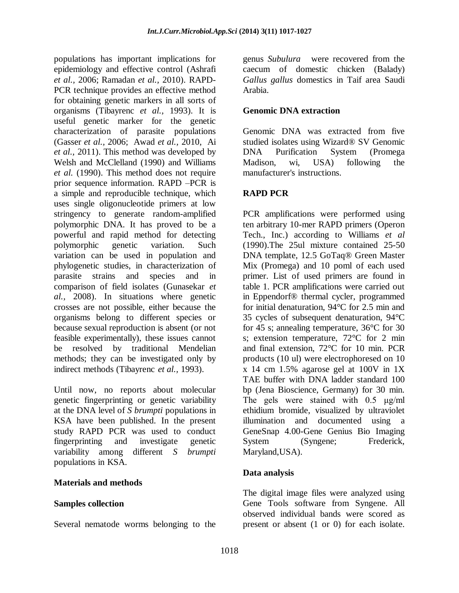populations has important implications for epidemiology and effective control (Ashrafi *et al.,* 2006; Ramadan *et al.,* 2010). RAPD-PCR technique provides an effective method for obtaining genetic markers in all sorts of organisms (Tibayrenc *et al.,* 1993). It is useful genetic marker for the genetic characterization of parasite populations (Gasser *et al.,* 2006; Awad *et al.,* 2010, Ai *et al.,* 2011). This method was developed by Welsh and McClelland (1990) and Williams *et al.* (1990). This method does not require prior sequence information. RAPD –PCR is a simple and reproducible technique, which uses single oligonucleotide primers at low stringency to generate random-amplified polymorphic DNA. It has proved to be a powerful and rapid method for detecting polymorphic genetic variation. Such variation can be used in population and phylogenetic studies, in characterization of parasite strains and species and in comparison of field isolates [\(Gunasekar](http://link.springer.com/search?facet-author=%22K.+R.+Gunasekar%22) *et al.,* 2008). In situations where genetic crosses are not possible, either because the organisms belong to different species or because sexual reproduction is absent (or not feasible experimentally), these issues cannot be resolved by traditional Mendelian methods; they can be investigated only by indirect methods (Tibayrenc *et al.,* 1993).

Until now, no reports about molecular genetic fingerprinting or genetic variability at the DNA level of *S brumpti* populations in KSA have been published. In the present study RAPD PCR was used to conduct fingerprinting and investigate genetic variability among different *S brumpti* populations in KSA.

### **Materials and methods**

#### **Samples collection**

Several nematode worms belonging to the

genus *Subulura* were recovered from the caecum of domestic chicken (Balady) *Gallus gallus* domestics in Taif area Saudi Arabia.

### **Genomic DNA extraction**

Genomic DNA was extracted from five studied isolates using Wizard® SV Genomic DNA Purification System (Promega Madison, wi, USA) following the manufacturer's instructions.

## **RAPD PCR**

PCR amplifications were performed using ten arbitrary 10-mer RAPD primers (Operon Tech., Inc.) according to Williams *et al* (1990).The 25ul mixture contained 25-50 DNA template, 12.5 GoTaq® Green Master Mix (Promega) and 10 poml of each used primer. List of used primers are found in table 1. PCR amplifications were carried out in Eppendorf® thermal cycler, programmed for initial denaturation, 94°C for 2.5 min and 35 cycles of subsequent denaturation, 94°C for 45 s; annealing temperature, 36°C for 30 s; extension temperature, 72°C for 2 min and final extension, 72°C for 10 min. PCR products (10 ul) were electrophoresed on 10 x 14 cm 1.5% agarose gel at 100V in 1X TAE buffer with DNA ladder standard 100 bp (Jena Bioscience, Germany) for 30 min. The gels were stained with 0.5 μg/ml ethidium bromide, visualized by ultraviolet illumination and documented using a GeneSnap 4.00-Gene Genius Bio Imaging System (Syngene; Frederick, Maryland,USA).

### **Data analysis**

The digital image files were analyzed using Gene Tools software from Syngene. All observed individual bands were scored as present or absent (1 or 0) for each isolate.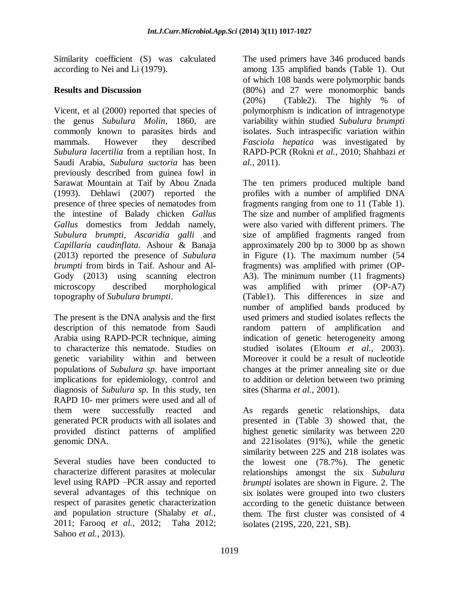Similarity coefficient (S) was calculated according to Nei and Li (1979).

### **Results and Discussion**

Vicent, et al (2000) reported that species of the genus *Subulura Molin*, 1860, are commonly known to parasites birds and mammals. However they described *Subulura lacertilia* from a reptilian host. In Saudi Arabia, *Subulura suctoria* has been previously described from guinea fowl in Sarawat Mountain at Taif by Abou Znada (1993). Dehlawi (2007) reported the presence of three species of nematodes from the intestine of Balady chicken *Gallus Gallus* domestics from Jeddah namely, *Subulura brumpti, Ascaridia galli* and *Capillaria caudinflata*. Ashour & Banaja (2013) reported the presence of *Subulura brumpti* from birds in Taif. Ashour and Al-Gody (2013) using scanning electron microscopy described morphological topography of *Subulura brumpti*.

The present is the DNA analysis and the first description of this nematode from Saudi Arabia using RAPD-PCR technique, aiming to characterize this nematode. Studies on genetic variability within and between populations of *Subulura sp.* have important implications for epidemiology, control and diagnosis of *Subulura sp.* In this study, ten RAPD 10- mer primers were used and all of them were successfully reacted and generated PCR products with all isolates and provided distinct patterns of amplified genomic DNA.

Several studies have been conducted to characterize different parasites at molecular level using RAPD –PCR assay and reported several advantages of this technique on respect of parasites genetic characterization and population structure (Shalaby *et al.,* 2011; [Farooq](http://www.ncbi.nlm.nih.gov/pubmed/?term=Farooq%20U%5Bauth%5D) *et al.,* 2012; Taha 2012; Sahoo *et al.*, 2013).

The used primers have 346 produced bands among 135 amplified bands (Table 1). Out of which 108 bands were polymorphic bands (80%) and 27 were monomorphic bands (20%) (Table2). The highly % of polymorphism is indication of intragenotype variability within studied *Subulura brumpti*  isolates. Such intraspecific variation within *Fasciola hepatica* was investigated by RAPD-PCR (Rokni *et al.*, 2010; Shahbazi *et al.*, 2011).

The ten primers produced multiple band profiles with a number of amplified DNA fragments ranging from one to 11 (Table 1). The size and number of amplified fragments were also varied with different primers. The size of amplified fragments ranged from approximately 200 bp to 3000 bp as shown in Figure (1). The maximum number (54 fragments) was amplified with primer (OP-A3). The minimum number (11 fragments) was amplified with primer (OP-A7) (Table1). This differences in size and number of amplified bands produced by used primers and studied isolates reflects the random pattern of amplification and indication of genetic heterogeneity among studied isolates (Eltoum *et al.*, 2003). Moreover it could be a result of nucleotide changes at the primer annealing site or due to addition or deletion between two priming sites (Sharma *et al.*, 2001).

As regards genetic relationships, data presented in (Table 3) showed that, the highest genetic similarity was between 220 and 221isolates (91%), while the genetic similarity between 22S and 218 isolates was the lowest one (78.7%). The genetic relationships amongst the six *Subulura brumpti* isolates are shown in Figure. 2. The six isolates were grouped into two clusters according to the genetic duistance between them. The first cluster was consisted of 4 isolates (219S, 220, 221, SB).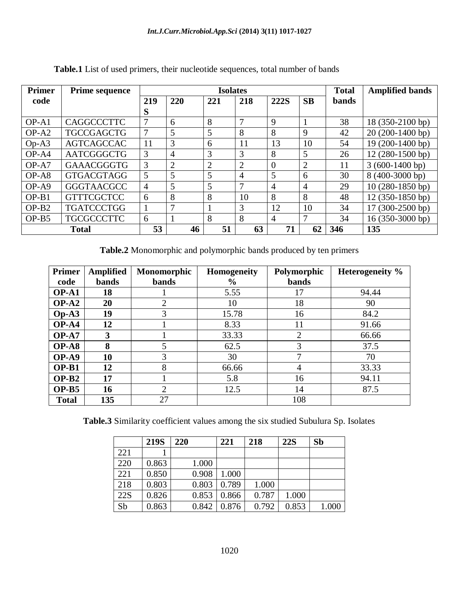| Primer       | <b>Prime sequence</b> | <b>Isolates</b> |                |                |               |             | <b>Total</b>   | <b>Amplified bands</b> |                   |
|--------------|-----------------------|-----------------|----------------|----------------|---------------|-------------|----------------|------------------------|-------------------|
| code         |                       | 219             | 220            | 221            | 218           | <b>222S</b> | <b>SB</b>      | <b>bands</b>           |                   |
|              |                       | S               |                |                |               |             |                |                        |                   |
| $OP-A1$      | <b>CAGGCCCTTC</b>     | 7               | 6              | 8              | $\mathbf{7}$  | 9           |                | 38                     | 18 (350-2100 bp)  |
| $OP-A2$      | <b>TGCCGAGCTG</b>     | 7               | 5              | 5              | 8             | 8           | 9              | 42                     | $20(200-1400 bp)$ |
| $Op-A3$      | <b>AGTCAGCCAC</b>     | 11              | 3              | 6              | 11            | 13          | 10             | 54                     | 19 (200-1400 bp)  |
| $OP-AA$      | <b>AATCGGGCTG</b>     | 3               | 4              | 3              | 3             | 8           | 5              | 26                     | $12(280-1500 bp)$ |
| $OP-A7$      | <b>GAAACGGGTG</b>     | 3               | $\overline{2}$ | $\overline{2}$ | 2             | $\Omega$    | $\overline{2}$ | 11                     | $3(600-1400 bp)$  |
| $OP-AS$      | <b>GTGACGTAGG</b>     | 5               | 5              | 5              | 4             | 5           | 6              | 30                     | 8 (400-3000 bp)   |
| $OP-A9$      | <b>GGGTAACGCC</b>     | $\overline{4}$  | 5              | 5              | $\mathcal{I}$ | 4           | $\overline{4}$ | 29                     | $10(280-1850$ bp) |
| $OP-B1$      | <b>GTTTCGCTCC</b>     | 6               | 8              | 8              | 10            | 8           | 8              | 48                     | $12(350-1850 bp)$ |
| $OP-B2$      | <b>TGATCCCTGG</b>     |                 | 7              |                | 3             | 12          | 10             | 34                     | $17(300-2500 bp)$ |
| $OP-B5$      | <b>TGCGCCCTTC</b>     | 6               |                | 8              | 8             | 4           | 7              | 34                     | $16(350-3000 bp)$ |
| <b>Total</b> |                       | 53              | 46             | 51             | 63            | 71          | 62             | 346                    | 135               |

**Table.1** List of used primers, their nucleotide sequences, total number of bands

**Table.2** Monomorphic and polymorphic bands produced by ten primers

| <b>Primer</b> | Amplified    | Monomorphic  | <b>Homogeneity</b> | Polymorphic    | Heterogeneity % |
|---------------|--------------|--------------|--------------------|----------------|-----------------|
| code          | <b>bands</b> | <b>bands</b> | $\%$               | <b>bands</b>   |                 |
| $OP-A1$       | 18           |              | 5.55               | 17             | 94.44           |
| $OP-A2$       | 20           | 2            | 10                 | 18             | 90              |
| $Op-A3$       | 19           | 3            | 15.78              | 16             | 84.2            |
| $OP-A4$       | 12           |              | 8.33               | 11             | 91.66           |
| $OP-A7$       | 3            |              | 33.33              | 2              | 66.66           |
| $OP-AS$       | 8            | 5            | 62.5               | 3              | 37.5            |
| $OP-A9$       | 10           | 3            | 30                 | 7              | 70              |
| $OP-B1$       | 12           | 8            | 66.66              | $\overline{4}$ | 33.33           |
| $OP-B2$       | 17           |              | 5.8                | 16             | 94.11           |
| $OP-B5$       | 16           | 2            | 12.5               | 14             | 87.5            |
| <b>Total</b>  | 135          | 27           |                    | 108            |                 |

**Table.3** Similarity coefficient values among the six studied Subulura Sp. Isolates

|     | <b>219S</b> | 220   | 221   | 218   | <b>22S</b> | Sb    |
|-----|-------------|-------|-------|-------|------------|-------|
| 221 |             |       |       |       |            |       |
| 220 | 0.863       | 1.000 |       |       |            |       |
| 221 | 0.850       | 0.908 | 1.000 |       |            |       |
| 218 | 0.803       | 0.803 | 0.789 | 1.000 |            |       |
| 22S | 0.826       | 0.853 | 0.866 | 0.787 | 1.000      |       |
| Sb  | 0.863       | 0.842 | 0.876 | 0.792 | 0.853      | 1.000 |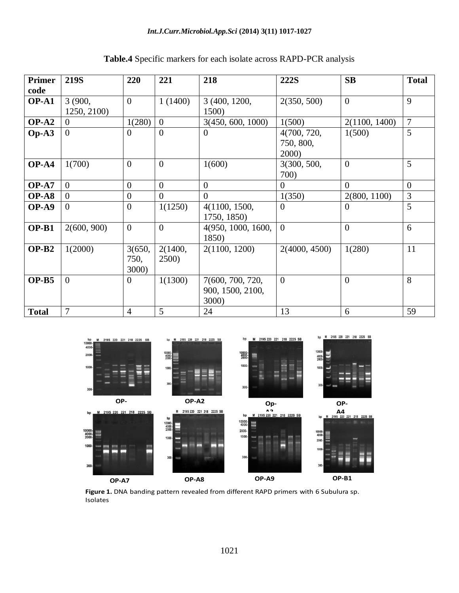| <b>Primer</b> | <b>219S</b>    | 220              | 221            | 218                | 222S           | SB             | <b>Total</b>   |
|---------------|----------------|------------------|----------------|--------------------|----------------|----------------|----------------|
| code          |                |                  |                |                    |                |                |                |
| $OP-A1$       | 3 (900,        | $\overline{0}$   | 1(1400)        | 3 (400, 1200,      | 2(350, 500)    | $\theta$       | 9              |
|               | 1250, 2100)    |                  |                | 1500)              |                |                |                |
| $OP-A2$       | 0              | 1(280)           | $\overline{0}$ | 3(450, 600, 1000)  | 1(500)         | 2(1100, 1400)  | $\overline{7}$ |
| $Op-A3$       | $\Omega$       | 0                | $\Omega$       | 0                  | 4(700, 720,    | 1(500)         | 5              |
|               |                |                  |                |                    | 750, 800,      |                |                |
|               |                |                  |                |                    | 2000)          |                |                |
| $OP-A4$       | 1(700)         | $\overline{0}$   | $\overline{0}$ | 1(600)             | 3(300, 500,    | $\theta$       | 5              |
|               |                |                  |                |                    | 700)           |                |                |
| $OP-A7$       | $\overline{0}$ | $\overline{0}$   | $\theta$       | $\overline{0}$     | $\overline{0}$ | $\Omega$       | $\overline{0}$ |
| $OP-AS$       | $\overline{0}$ | $\overline{0}$   | $\overline{0}$ | $\overline{0}$     | 1(350)         | 2(800, 1100)   | 3              |
| $OP-A9$       | $\overline{0}$ | $\overline{0}$   | 1(1250)        | 4(1100, 1500,      | $\Omega$       | $\Omega$       | 5              |
|               |                |                  |                | 1750, 1850)        |                |                |                |
| $OP-B1$       | 2(600, 900)    | $\boldsymbol{0}$ | $\overline{0}$ | 4(950, 1000, 1600, | $\theta$       | $\overline{0}$ | 6              |
|               |                |                  |                | 1850)              |                |                |                |
| $OP-B2$       | 1(2000)        | 3(650,           | 2(1400,        | 2(1100, 1200)      | 2(4000, 4500)  | 1(280)         | 11             |
|               |                | 750,             | 2500)          |                    |                |                |                |
|               |                | <b>3000</b> )    |                |                    |                |                |                |
| $OP-B5$       | $\overline{0}$ | $\overline{0}$   | 1(1300)        | 7(600, 700, 720,   | $\overline{0}$ | $\overline{0}$ | 8              |
|               |                |                  |                | 900, 1500, 2100,   |                |                |                |
|               |                |                  |                | 3000)              |                |                |                |
| <b>Total</b>  | 7              | 4                | 5              | 24                 | 13             | 6              | 59             |

|  |  |  | <b>Table.4</b> Specific markers for each isolate across RAPD-PCR analysis |  |
|--|--|--|---------------------------------------------------------------------------|--|
|--|--|--|---------------------------------------------------------------------------|--|



**Figure 1.** DNA banding pattern revealed from different RAPD primers with 6 Subulura sp. Isolates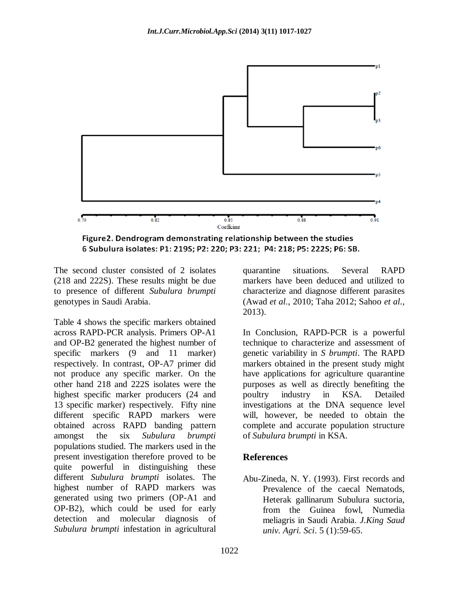

Figure2. Dendrogram demonstrating relationship between the studies 6 Subulura isolates: P1: 219S; P2: 220; P3: 221; P4: 218; P5: 222S; P6: SB.

The second cluster consisted of 2 isolates (218 and 222S). These results might be due to presence of different *Subulura brumpti* genotypes in Saudi Arabia.

Table 4 shows the specific markers obtained across RAPD-PCR analysis. Primers OP-A1 and OP-B2 generated the highest number of specific markers (9 and 11 marker) respectively. In contrast, OP-A7 primer did not produce any specific marker. On the other hand 218 and 222S isolates were the highest specific marker producers (24 and 13 specific marker) respectively. Fifty nine different specific RAPD markers were obtained across RAPD banding pattern amongst the six *Subulura brumpti*  populations studied. The markers used in the present investigation therefore proved to be quite powerful in distinguishing these different *Subulura brumpti* isolates. The highest number of RAPD markers was generated using two primers (OP-A1 and OP-B2), which could be used for early detection and molecular diagnosis of *Subulura brumpti* infestation in agricultural

quarantine situations. Several RAPD markers have been deduced and utilized to characterize and diagnose different parasites (Awad *et al.*, 2010; Taha 2012; Sahoo *et al.*, 2013).

In Conclusion, RAPD-PCR is a powerful technique to characterize and assessment of genetic variability in *S brumpti*. The RAPD markers obtained in the present study might have applications for agriculture quarantine purposes as well as directly benefiting the poultry industry in KSA. Detailed investigations at the DNA sequence level will, however, be needed to obtain the complete and accurate population structure of *Subulura brumpti* in KSA.

#### **References**

Abu-Zineda, N. Y. (1993). First records and Prevalence of the caecal Nematods, Heterak gallinarum Subulura suctoria, from the Guinea fowl, Numedia meliagris in Saudi Arabia. *J.King Saud univ. Agri. Sci*. 5 (1):59-65.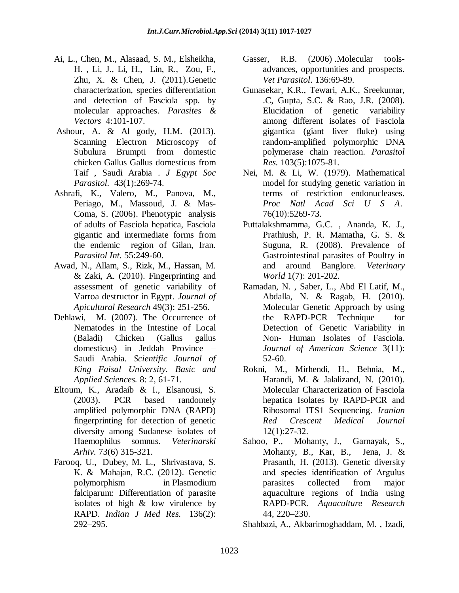- Ai, L., Chen, M., Alasaad, S. M., Elsheikha, H. , Li, J., Li, H., Lin, R., Zou, F., Zhu, X. & Chen, J. (2011).Genetic characterization, species differentiation and detection of Fasciola spp. by molecular approaches. *Parasites & Vectors* 4:101-107.
- Ashour, A. & Al gody, H.M. (2013). Scanning Electron Microscopy of Subulura Brumpti from domestic chicken Gallus Gallus domesticus from Taif , Saudi Arabia . *[J Egypt Soc](http://www.ncbi.nlm.nih.gov/pubmed/23697032)  [Parasitol.](http://www.ncbi.nlm.nih.gov/pubmed/23697032)* 43(1):269-74.
- Ashrafi, K., Valero, M., Panova, M., Periago, M., Massoud, J. & Mas-Coma, S. (2006). Phenotypic analysis of adults of Fasciola hepatica, Fasciola gigantic and intermediate forms from the endemic region of Gilan, Iran. *Parasitol Int.* 55:249-60.
- Awad, N., Allam, S., Rizk, M., Hassan, M. & Zaki, A. (2010). Fingerprinting and assessment of genetic variability of Varroa destructor in Egypt. *Journal of Apicultural Research* 49(3): 251-256.
- Dehlawi, M. (2007). The Occurrence of Nematodes in the Intestine of Local (Baladi) Chicken (Gallus gallus domesticus) in Jeddah Province – Saudi Arabia. *Scientific Journal of King Faisal University. Basic and Applied Sciences.* 8: 2, 61-71.
- Eltoum, K., Aradaib & I., Elsanousi, S. (2003). PCR based randomely amplified polymorphic DNA (RAPD) fingerprinting for detection of genetic diversity among Sudanese isolates of Haemophilus somnus. *Veterinarski Arhiv.* 73(6) 315-321.
- [Farooq,](http://www.ncbi.nlm.nih.gov/pubmed/?term=Farooq%20U%5Bauth%5D) U., [Dubey,](http://www.ncbi.nlm.nih.gov/pubmed/?term=Dubey%20M%5Bauth%5D) M. L., [Shrivastava,](http://www.ncbi.nlm.nih.gov/pubmed/?term=Shrivastava%20S%5Bauth%5D) S. K. & [Mahajan,](http://www.ncbi.nlm.nih.gov/pubmed/?term=Mahajan%20R%5Bauth%5D) R.C. (2012). Genetic polymorphism in Plasmodium falciparum: Differentiation of parasite isolates of high & low virulence by RAPD. *Indian J Med Res.* 136(2): 292–295.
- Gasser, R.B. (2006) Molecular toolsadvances, opportunities and prospects. *Vet Parasitol*. 136:69-89.
- Gunasekar, K.R., Tewari, A.K., Sreekumar, .C, Gupta, S.C. & Rao, J.R. (2008). Elucidation of genetic variability among different isolates of Fasciola gigantica (giant liver fluke) using random-amplified polymorphic DNA polymerase chain reaction. *Parasitol Res.* 103(5):1075-81.
- Nei, M. & Li, W. (1979). Mathematical model for studying genetic variation in terms of restriction endonucleases. *[Proc Natl Acad Sci U S A](http://www.ncbi.nlm.nih.gov/pubmed/291943)*. 76(10):5269-73.
- Puttalakshmamma, G.C. , Ananda, K. J., Prathiush, P. R. Mamatha, G. S. & Suguna, R. (2008). Prevalence of Gastrointestinal parasites of Poultry in and around Banglore. *Veterinary World* 1(7): 201-202.
- Ramadan, N. , Saber, L., Abd El Latif, M., Abdalla, N. & Ragab, H. (2010). Molecular Genetic Approach by using the RAPD-PCR Technique for Detection of Genetic Variability in Non- Human Isolates of Fasciola. *Journal of American Science* 3(11): 52-60.
- Rokni, M., Mirhendi, H., Behnia, M., Harandi, M. & Jalalizand, N. (2010). Molecular Characterization of Fasciola hepatica Isolates by RAPD-PCR and Ribosomal ITS1 Sequencing. *Iranian Red Crescent Medical Journal* 12(1):27-32.
- Sahoo, P., Mohanty, J., Garnayak, S., Mohanty, B., Kar, B., Jena, J. & Prasanth, H. (2013). Genetic diversity and species identification of Argulus parasites collected from major aquaculture regions of India using RAPD-PCR. *Aquaculture Research* 44, 220–230.

Shahbazi, A., Akbarimoghaddam, M. , Izadi,